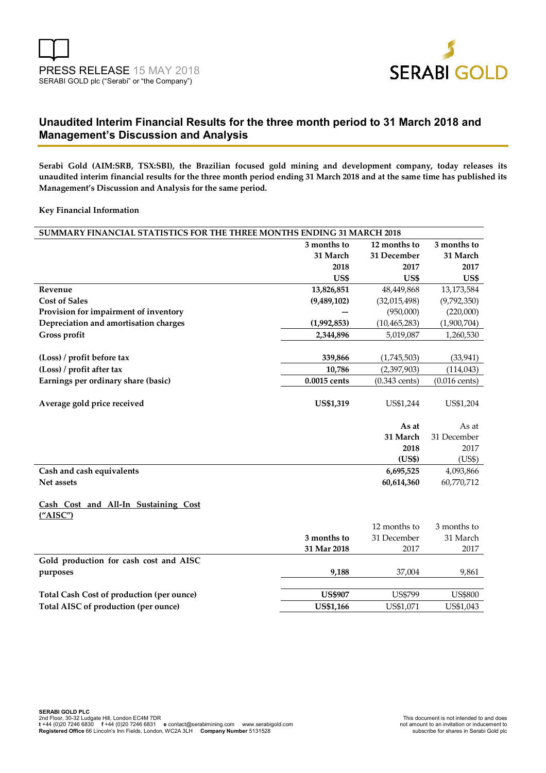

## **Unaudited Interim Financial Results for the three month period to 31 March 2018 and Management's Discussion and Analysis**

**Serabi Gold (AIM:SRB, TSX:SBI), the Brazilian focused gold mining and development company, today releases its unaudited interim financial results for the three month period ending 31 March 2018 and at the same time has published its Management's Discussion and Analysis for the same period.** 

#### **Key Financial Information**

| SUMMARY FINANCIAL STATISTICS FOR THE THREE MONTHS ENDING 31 MARCH 2018 |                  |                 |                         |  |  |
|------------------------------------------------------------------------|------------------|-----------------|-------------------------|--|--|
|                                                                        | 3 months to      | 12 months to    | 3 months to             |  |  |
|                                                                        | 31 March         | 31 December     | 31 March                |  |  |
|                                                                        | 2018             | 2017            | 2017                    |  |  |
|                                                                        | US\$             | <b>US\$</b>     | US\$                    |  |  |
| Revenue                                                                | 13,826,851       | 48,449,868      | 13,173,584              |  |  |
| <b>Cost of Sales</b>                                                   | (9,489,102)      | (32,015,498)    | (9,792,350)             |  |  |
| Provision for impairment of inventory                                  |                  | (950,000)       | (220,000)               |  |  |
| Depreciation and amortisation charges                                  | (1,992,853)      | (10, 465, 283)  | (1,900,704)             |  |  |
| Gross profit                                                           | 2,344,896        | 5,019,087       | 1,260,530               |  |  |
|                                                                        |                  |                 |                         |  |  |
| (Loss) / profit before tax                                             | 339,866          | (1,745,503)     | (33, 941)               |  |  |
| (Loss) / profit after tax                                              | 10,786           | (2,397,903)     | (114, 043)              |  |  |
| Earnings per ordinary share (basic)                                    | 0.0015 cents     | $(0.343$ cents) | $(0.016 \text{ cents})$ |  |  |
|                                                                        |                  |                 |                         |  |  |
| Average gold price received                                            | <b>US\$1,319</b> | US\$1,244       | US\$1,204               |  |  |
|                                                                        |                  |                 |                         |  |  |
|                                                                        |                  |                 |                         |  |  |
|                                                                        |                  | As at           | As at                   |  |  |
|                                                                        |                  | 31 March        | 31 December             |  |  |
|                                                                        |                  | 2018            | 2017                    |  |  |
|                                                                        |                  | (US\$)          | (US\$)                  |  |  |
| Cash and cash equivalents                                              |                  | 6,695,525       | 4,093,866               |  |  |
| Net assets                                                             |                  | 60,614,360      | 60,770,712              |  |  |
|                                                                        |                  |                 |                         |  |  |
| Cash Cost and All-In Sustaining Cost                                   |                  |                 |                         |  |  |
| (''AISC'')                                                             |                  |                 |                         |  |  |
|                                                                        |                  | 12 months to    | 3 months to             |  |  |
|                                                                        | 3 months to      | 31 December     | 31 March                |  |  |
|                                                                        | 31 Mar 2018      | 2017            | 2017                    |  |  |
| Gold production for cash cost and AISC                                 |                  |                 |                         |  |  |
| purposes                                                               | 9,188            | 37,004          | 9,861                   |  |  |
|                                                                        |                  |                 |                         |  |  |
| Total Cash Cost of production (per ounce)                              | <b>US\$907</b>   | <b>US\$799</b>  | <b>US\$800</b>          |  |  |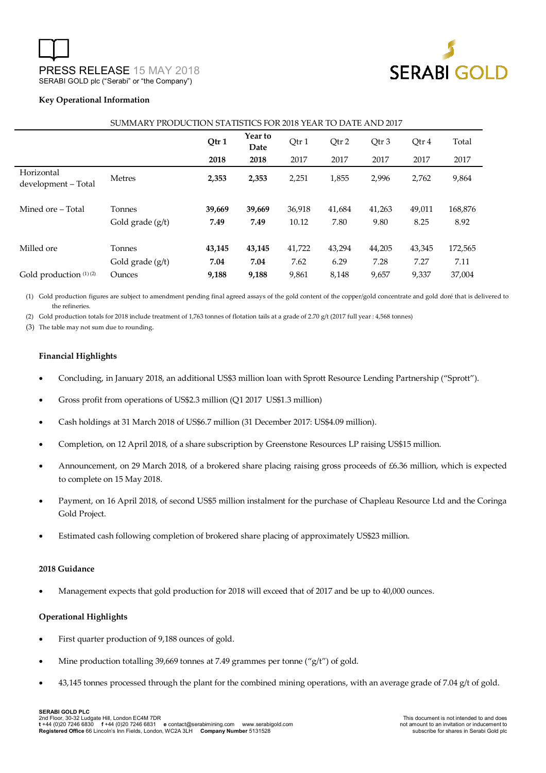

#### **Key Operational Information**

|                                   |                              | Qtr1           | Year to<br>Date | Qtr1            | Qtr 2          | Qtr 3          | Qtr 4          | Total           |
|-----------------------------------|------------------------------|----------------|-----------------|-----------------|----------------|----------------|----------------|-----------------|
|                                   |                              | 2018           | 2018            | 2017            | 2017           | 2017           | 2017           | 2017            |
| Horizontal<br>development - Total | <b>Metres</b>                | 2,353          | 2,353           | 2,251           | 1,855          | 2,996          | 2,762          | 9,864           |
| Mined ore – Total                 | Tonnes<br>Gold grade $(g/t)$ | 39,669<br>7.49 | 39,669<br>7.49  | 36,918<br>10.12 | 41,684<br>7.80 | 41,263<br>9.80 | 49,011<br>8.25 | 168,876<br>8.92 |
| Milled ore                        | Tonnes<br>Gold grade (g/t)   | 43,145<br>7.04 | 43,145<br>7.04  | 41,722<br>7.62  | 43,294<br>6.29 | 44,205<br>7.28 | 43,345<br>7.27 | 172,565<br>7.11 |
| Gold production $(1)(2)$          | Ounces                       | 9,188          | 9,188           | 9,861           | 8,148          | 9,657          | 9,337          | 37.004          |

#### SUMMARY PRODUCTION STATISTICS FOR 2018 YEAR TO DATE AND 2017

(1) Gold production figures are subject to amendment pending final agreed assays of the gold content of the copper/gold concentrate and gold doré that is delivered to the refineries.

(2) Gold production totals for 2018 include treatment of 1,763 tonnes of flotation tails at a grade of 2.70 g/t (2017 full year : 4,568 tonnes)

(3) The table may not sum due to rounding.

#### **Financial Highlights**

- Concluding, in January 2018, an additional US\$3 million loan with Sprott Resource Lending Partnership ("Sprott").
- Gross profit from operations of US\$2.3 million (Q1 2017 US\$1.3 million)
- Cash holdings at 31 March 2018 of US\$6.7 million (31 December 2017: US\$4.09 million).
- Completion, on 12 April 2018, of a share subscription by Greenstone Resources LP raising US\$15 million.
- Announcement, on 29 March 2018, of a brokered share placing raising gross proceeds of £6.36 million, which is expected to complete on 15 May 2018.
- Payment, on 16 April 2018, of second US\$5 million instalment for the purchase of Chapleau Resource Ltd and the Coringa Gold Project.
- Estimated cash following completion of brokered share placing of approximately US\$23 million.

#### **2018 Guidance**

Management expects that gold production for 2018 will exceed that of 2017 and be up to 40,000 ounces.

#### **Operational Highlights**

- First quarter production of 9,188 ounces of gold.
- Mine production totalling 39,669 tonnes at 7.49 grammes per tonne ("g/t") of gold.
- 43,145 tonnes processed through the plant for the combined mining operations, with an average grade of 7.04 g/t of gold.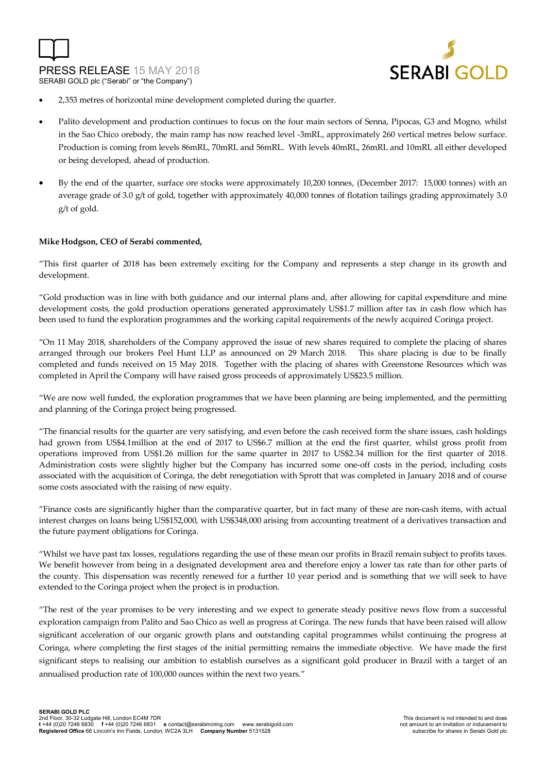



- 2,353 metres of horizontal mine development completed during the quarter.
- Palito development and production continues to focus on the four main sectors of Senna, Pipocas, G3 and Mogno, whilst in the Sao Chico orebody, the main ramp has now reached level -3mRL, approximately 260 vertical metres below surface. Production is coming from levels 86mRL, 70mRL and 56mRL. With levels 40mRL, 26mRL and 10mRL all either developed or being developed, ahead of production.
- By the end of the quarter, surface ore stocks were approximately 10,200 tonnes, (December 2017: 15,000 tonnes) with an average grade of 3.0 g/t of gold, together with approximately 40,000 tonnes of flotation tailings grading approximately 3.0 g/t of gold.

#### **Mike Hodgson, CEO of Serabi commented,**

"This first quarter of 2018 has been extremely exciting for the Company and represents a step change in its growth and development.

"Gold production was in line with both guidance and our internal plans and, after allowing for capital expenditure and mine development costs, the gold production operations generated approximately US\$1.7 million after tax in cash flow which has been used to fund the exploration programmes and the working capital requirements of the newly acquired Coringa project.

"On 11 May 2018, shareholders of the Company approved the issue of new shares required to complete the placing of shares arranged through our brokers Peel Hunt LLP as announced on 29 March 2018. This share placing is due to be finally completed and funds received on 15 May 2018. Together with the placing of shares with Greenstone Resources which was completed in April the Company will have raised gross proceeds of approximately US\$23.5 million.

"We are now well funded, the exploration programmes that we have been planning are being implemented, and the permitting and planning of the Coringa project being progressed.

"The financial results for the quarter are very satisfying, and even before the cash received form the share issues, cash holdings had grown from US\$4.1million at the end of 2017 to US\$6.7 million at the end the first quarter, whilst gross profit from operations improved from US\$1.26 million for the same quarter in 2017 to US\$2.34 million for the first quarter of 2018. Administration costs were slightly higher but the Company has incurred some one-off costs in the period, including costs associated with the acquisition of Coringa, the debt renegotiation with Sprott that was completed in January 2018 and of course some costs associated with the raising of new equity.

"Finance costs are significantly higher than the comparative quarter, but in fact many of these are non-cash items, with actual interest charges on loans being US\$152,000, with US\$348,000 arising from accounting treatment of a derivatives transaction and the future payment obligations for Coringa.

"Whilst we have past tax losses, regulations regarding the use of these mean our profits in Brazil remain subject to profits taxes. We benefit however from being in a designated development area and therefore enjoy a lower tax rate than for other parts of the county. This dispensation was recently renewed for a further 10 year period and is something that we will seek to have extended to the Coringa project when the project is in production.

"The rest of the year promises to be very interesting and we expect to generate steady positive news flow from a successful exploration campaign from Palito and Sao Chico as well as progress at Coringa. The new funds that have been raised will allow significant acceleration of our organic growth plans and outstanding capital programmes whilst continuing the progress at Coringa, where completing the first stages of the initial permitting remains the immediate objective. We have made the first significant steps to realising our ambition to establish ourselves as a significant gold producer in Brazil with a target of an annualised production rate of 100,000 ounces within the next two years."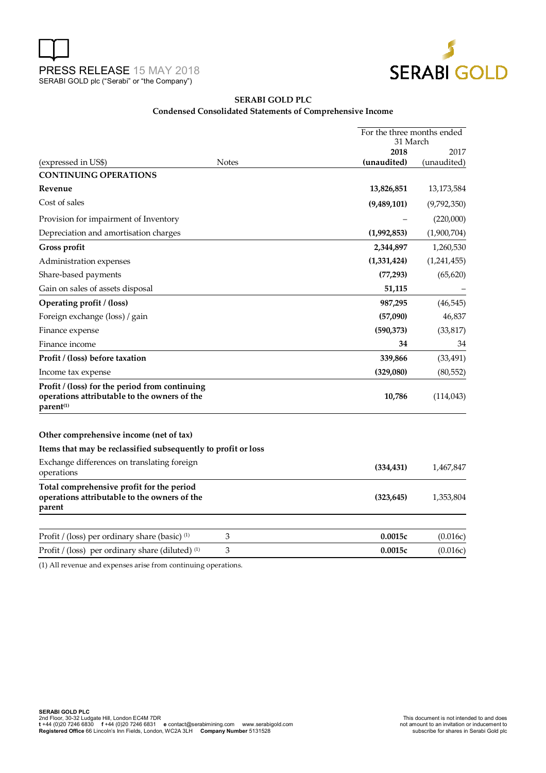



### **SERABI GOLD PLC Condensed Consolidated Statements of Comprehensive Income**

|                                                                                                             |              | For the three months ended<br>31 March |              |  |
|-------------------------------------------------------------------------------------------------------------|--------------|----------------------------------------|--------------|--|
|                                                                                                             |              | 2018                                   | 2017         |  |
| (expressed in US\$)                                                                                         | <b>Notes</b> | (unaudited)                            | (unaudited)  |  |
| <b>CONTINUING OPERATIONS</b>                                                                                |              |                                        |              |  |
| Revenue                                                                                                     |              | 13,826,851                             | 13, 173, 584 |  |
| Cost of sales                                                                                               |              | (9,489,101)                            | (9,792,350)  |  |
| Provision for impairment of Inventory                                                                       |              |                                        | (220,000)    |  |
| Depreciation and amortisation charges                                                                       |              | (1,992,853)                            | (1,900,704)  |  |
| Gross profit                                                                                                |              | 2,344,897                              | 1,260,530    |  |
| Administration expenses                                                                                     |              | (1,331,424)                            | (1,241,455)  |  |
| Share-based payments                                                                                        |              | (77, 293)                              | (65, 620)    |  |
| Gain on sales of assets disposal                                                                            |              | 51,115                                 |              |  |
| Operating profit / (loss)                                                                                   |              | 987,295                                | (46, 545)    |  |
| Foreign exchange (loss) / gain                                                                              |              | (57,090)                               | 46,837       |  |
| Finance expense                                                                                             |              | (590, 373)                             | (33, 817)    |  |
| Finance income                                                                                              |              | 34                                     | 34           |  |
| Profit / (loss) before taxation                                                                             |              | 339,866                                | (33, 491)    |  |
| Income tax expense                                                                                          |              | (329,080)                              | (80, 552)    |  |
| Profit / (loss) for the period from continuing<br>operations attributable to the owners of the<br>parent(1) |              | 10,786                                 | (114, 043)   |  |
| Other comprehensive income (net of tax)                                                                     |              |                                        |              |  |
| Items that may be reclassified subsequently to profit or loss                                               |              |                                        |              |  |
| Exchange differences on translating foreign<br>operations                                                   |              | (334, 431)                             | 1,467,847    |  |
| Total comprehensive profit for the period<br>operations attributable to the owners of the<br>parent         |              | (323, 645)                             | 1,353,804    |  |
| Profit / (loss) per ordinary share (basic) <sup>(1)</sup>                                                   | 3            | 0.0015c                                | (0.016c)     |  |
| Profit / (loss) per ordinary share (diluted) <sup>(1)</sup>                                                 | 3            | 0.0015c                                | (0.016c)     |  |

(1) All revenue and expenses arise from continuing operations.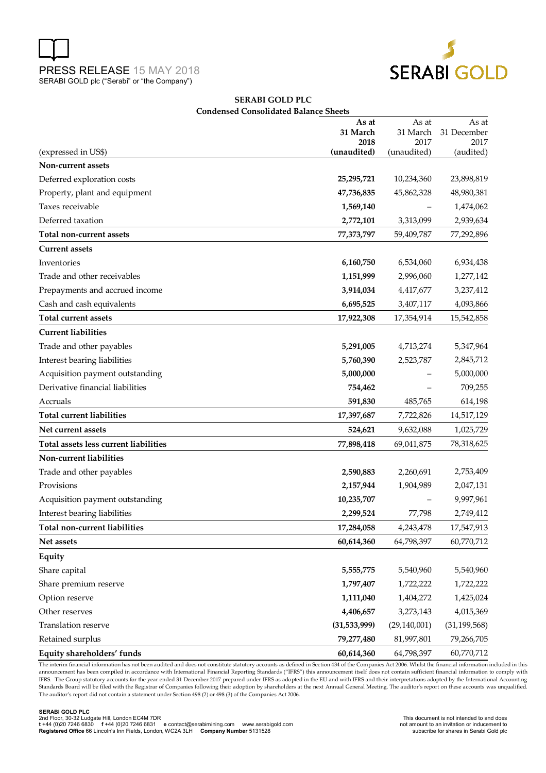



#### **SERABI GOLD PLC Condensed Consolidated Balance Sheets**

|                                       | As at<br>31 March | As at<br>31 March | As at<br>31 December |
|---------------------------------------|-------------------|-------------------|----------------------|
|                                       | 2018              | 2017              | 2017                 |
| (expressed in US\$)                   | (unaudited)       | (unaudited)       | (audited)            |
| Non-current assets                    |                   |                   |                      |
| Deferred exploration costs            | 25,295,721        | 10,234,360        | 23,898,819           |
| Property, plant and equipment         | 47,736,835        | 45,862,328        | 48,980,381           |
| Taxes receivable                      | 1,569,140         |                   | 1,474,062            |
| Deferred taxation                     | 2,772,101         | 3,313,099         | 2,939,634            |
| Total non-current assets              | 77,373,797        | 59,409,787        | 77,292,896           |
| <b>Current assets</b>                 |                   |                   |                      |
| Inventories                           | 6,160,750         | 6,534,060         | 6,934,438            |
| Trade and other receivables           | 1,151,999         | 2,996,060         | 1,277,142            |
| Prepayments and accrued income        | 3,914,034         | 4,417,677         | 3,237,412            |
| Cash and cash equivalents             | 6,695,525         | 3,407,117         | 4,093,866            |
| <b>Total current assets</b>           | 17,922,308        | 17,354,914        | 15,542,858           |
| <b>Current liabilities</b>            |                   |                   |                      |
| Trade and other payables              | 5,291,005         | 4,713,274         | 5,347,964            |
| Interest bearing liabilities          | 5,760,390         | 2,523,787         | 2,845,712            |
| Acquisition payment outstanding       | 5,000,000         |                   | 5,000,000            |
| Derivative financial liabilities      | 754,462           |                   | 709,255              |
| Accruals                              | 591,830           | 485,765           | 614,198              |
| <b>Total current liabilities</b>      | 17,397,687        | 7,722,826         | 14,517,129           |
| Net current assets                    | 524,621           | 9,632,088         | 1,025,729            |
| Total assets less current liabilities | 77,898,418        | 69,041,875        | 78,318,625           |
| Non-current liabilities               |                   |                   |                      |
| Trade and other payables              | 2,590,883         | 2,260,691         | 2,753,409            |
| Provisions                            | 2,157,944         | 1,904,989         | 2,047,131            |
| Acquisition payment outstanding       | 10,235,707        |                   | 9,997,961            |
| Interest bearing liabilities          | 2,299,524         | 77,798            | 2,749,412            |
| <b>Total non-current liabilities</b>  | 17,284,058        | 4,243,478         | 17,547,913           |
| Net assets                            | 60,614,360        | 64,798,397        | 60,770,712           |
| Equity                                |                   |                   |                      |
| Share capital                         | 5,555,775         | 5,540,960         | 5,540,960            |
| Share premium reserve                 | 1,797,407         | 1,722,222         | 1,722,222            |
| Option reserve                        | 1,111,040         | 1,404,272         | 1,425,024            |
| Other reserves                        | 4,406,657         | 3,273,143         | 4,015,369            |
| Translation reserve                   | (31, 533, 999)    | (29, 140, 001)    | (31, 199, 568)       |
| Retained surplus                      | 79,277,480        | 81,997,801        | 79,266,705           |
| Equity shareholders' funds            | 60,614,360        | 64,798,397        | 60,770,712           |

The interim financial information has not been audited and does not constitute statutory accounts as defined in Section 434 of the Companies Act 2006. Whilst the financial information included in this announcement has been compiled in accordance with International Financial Reporting Standards ("IFRS") this announcement itself does not contain sufficient financial information to comply with IFRS. The Group statutory accounts for the year ended 31 December 2017 prepared under IFRS as adopted in the EU and with IFRS and their interpretations adopted by the International Accounting Standards Board will be filed with the Registrar of Companies following their adoption by shareholders at the next Annual General Meeting. The auditor's report on these accounts was unqualified. The auditor's report did not contain a statement under Section 498 (2) or 498 (3) of the Companies Act 2006.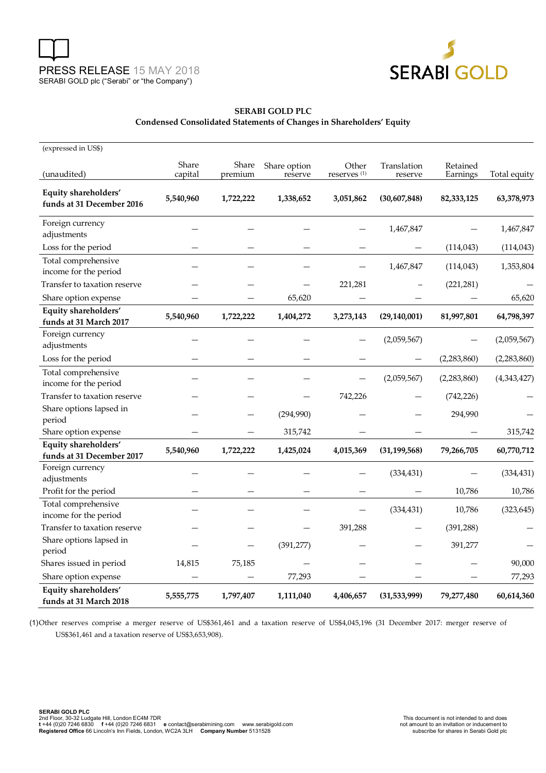



### **SERABI GOLD PLC Condensed Consolidated Statements of Changes in Shareholders' Equity**

| (expressed in US\$)                               |           |           |              |                         |                |             |              |
|---------------------------------------------------|-----------|-----------|--------------|-------------------------|----------------|-------------|--------------|
|                                                   | Share     | Share     | Share option | Other                   | Translation    | Retained    |              |
| (unaudited)                                       | capital   | premium   | reserve      | reserves <sup>(1)</sup> | reserve        | Earnings    | Total equity |
| Equity shareholders'<br>funds at 31 December 2016 | 5,540,960 | 1,722,222 | 1,338,652    | 3,051,862               | (30,607,848)   | 82,333,125  | 63,378,973   |
| Foreign currency<br>adjustments                   |           |           |              |                         | 1,467,847      |             | 1,467,847    |
| Loss for the period                               |           |           |              |                         |                | (114, 043)  | (114, 043)   |
| Total comprehensive<br>income for the period      |           |           |              |                         | 1,467,847      | (114, 043)  | 1,353,804    |
| Transfer to taxation reserve                      |           |           |              | 221,281                 |                | (221, 281)  |              |
| Share option expense                              |           |           | 65,620       |                         |                |             | 65,620       |
| Equity shareholders'<br>funds at 31 March 2017    | 5,540,960 | 1,722,222 | 1,404,272    | 3,273,143               | (29, 140, 001) | 81,997,801  | 64,798,397   |
| Foreign currency<br>adjustments                   |           |           |              |                         | (2,059,567)    |             | (2,059,567)  |
| Loss for the period                               |           |           |              |                         |                | (2,283,860) | (2,283,860)  |
| Total comprehensive<br>income for the period      |           |           |              |                         | (2,059,567)    | (2,283,860) | (4,343,427)  |
| Transfer to taxation reserve                      |           |           |              | 742,226                 |                | (742, 226)  |              |
| Share options lapsed in<br>period                 |           |           | (294,990)    |                         |                | 294,990     |              |
| Share option expense                              |           |           | 315,742      |                         |                |             | 315,742      |
| Equity shareholders'<br>funds at 31 December 2017 | 5,540,960 | 1,722,222 | 1,425,024    | 4,015,369               | (31, 199, 568) | 79,266,705  | 60,770,712   |
| Foreign currency<br>adjustments                   |           |           |              |                         | (334, 431)     |             | (334, 431)   |
| Profit for the period                             |           |           |              |                         |                | 10,786      | 10,786       |
| Total comprehensive<br>income for the period      |           |           |              |                         | (334, 431)     | 10,786      | (323, 645)   |
| Transfer to taxation reserve                      |           |           |              | 391,288                 |                | (391, 288)  |              |
| Share options lapsed in<br>period                 |           |           | (391, 277)   |                         |                | 391,277     |              |
| Shares issued in period                           | 14,815    | 75,185    |              |                         |                |             | 90,000       |
| Share option expense                              |           |           | 77,293       |                         |                |             | 77,293       |
| Equity shareholders'<br>funds at 31 March 2018    | 5,555,775 | 1,797,407 | 1,111,040    | 4,406,657               | (31, 533, 999) | 79,277,480  | 60,614,360   |

(1) Other reserves comprise a merger reserve of US\$361,461 and a taxation reserve of US\$4,045,196 (31 December 2017: merger reserve of US\$361,461 and a taxation reserve of US\$3,653,908).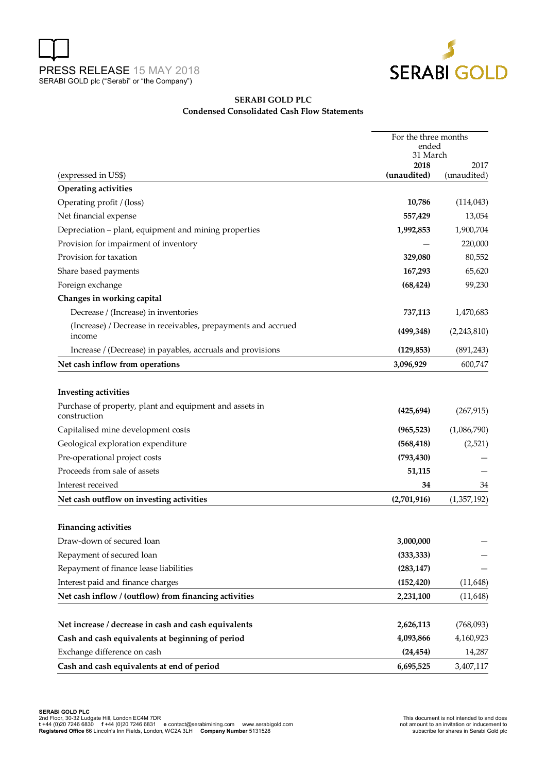



#### **SERABI GOLD PLC Condensed Consolidated Cash Flow Statements**

|                                                                         | For the three months<br>ended |             |  |
|-------------------------------------------------------------------------|-------------------------------|-------------|--|
|                                                                         |                               |             |  |
|                                                                         | 31 March<br>2018              | 2017        |  |
| (expressed in US\$)                                                     | (unaudited)                   | (unaudited) |  |
| <b>Operating activities</b>                                             |                               |             |  |
| Operating profit / (loss)                                               | 10,786                        | (114, 043)  |  |
| Net financial expense                                                   | 557,429                       | 13,054      |  |
| Depreciation - plant, equipment and mining properties                   | 1,992,853                     | 1,900,704   |  |
| Provision for impairment of inventory                                   |                               | 220,000     |  |
| Provision for taxation                                                  | 329,080                       | 80,552      |  |
| Share based payments                                                    | 167,293                       | 65,620      |  |
| Foreign exchange                                                        | (68, 424)                     | 99,230      |  |
| Changes in working capital                                              |                               |             |  |
| Decrease / (Increase) in inventories                                    | 737,113                       | 1,470,683   |  |
| (Increase) / Decrease in receivables, prepayments and accrued<br>income | (499, 348)                    | (2,243,810) |  |
| Increase / (Decrease) in payables, accruals and provisions              | (129, 853)                    | (891, 243)  |  |
| Net cash inflow from operations                                         | 3,096,929                     | 600,747     |  |
| <b>Investing activities</b>                                             |                               |             |  |
| Purchase of property, plant and equipment and assets in<br>construction | (425, 694)                    | (267, 915)  |  |
| Capitalised mine development costs                                      | (965, 523)                    | (1,086,790) |  |
| Geological exploration expenditure                                      | (568, 418)                    | (2,521)     |  |
| Pre-operational project costs                                           | (793, 430)                    |             |  |
| Proceeds from sale of assets                                            | 51,115                        |             |  |
| Interest received                                                       | 34                            | 34          |  |
| Net cash outflow on investing activities                                | (2,701,916)                   | (1,357,192) |  |
| <b>Financing activities</b>                                             |                               |             |  |
| Draw-down of secured loan                                               | 3,000,000                     |             |  |
| Repayment of secured loan                                               | (333, 333)                    |             |  |
| Repayment of finance lease liabilities                                  | (283, 147)                    |             |  |
| Interest paid and finance charges                                       | (152, 420)                    | (11, 648)   |  |
| Net cash inflow / (outflow) from financing activities                   | 2,231,100                     | (11, 648)   |  |
|                                                                         |                               |             |  |
| Net increase / decrease in cash and cash equivalents                    | 2,626,113                     | (768,093)   |  |
| Cash and cash equivalents at beginning of period                        | 4,093,866                     | 4,160,923   |  |
| Exchange difference on cash                                             | (24, 454)                     | 14,287      |  |
| Cash and cash equivalents at end of period                              | 6,695,525                     | 3,407,117   |  |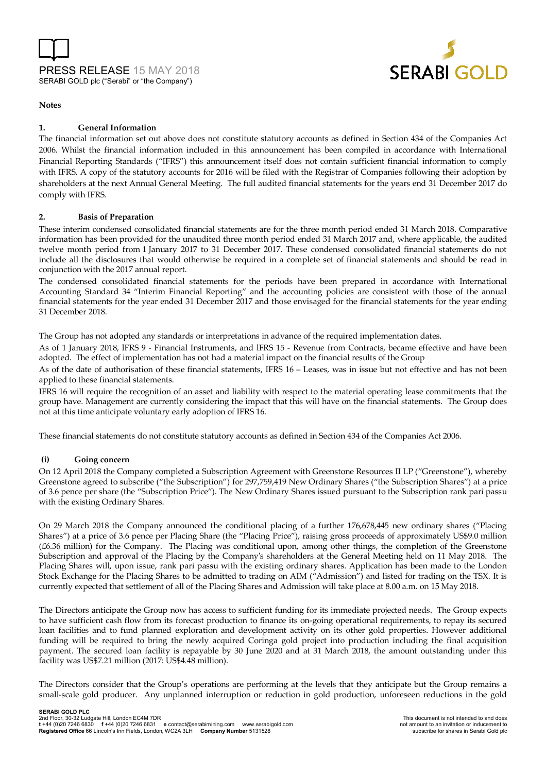



#### **Notes**

#### **1. General Information**

The financial information set out above does not constitute statutory accounts as defined in Section 434 of the Companies Act 2006. Whilst the financial information included in this announcement has been compiled in accordance with International Financial Reporting Standards ("IFRS") this announcement itself does not contain sufficient financial information to comply with IFRS. A copy of the statutory accounts for 2016 will be filed with the Registrar of Companies following their adoption by shareholders at the next Annual General Meeting. The full audited financial statements for the years end 31 December 2017 do comply with IFRS.

#### **2. Basis of Preparation**

These interim condensed consolidated financial statements are for the three month period ended 31 March 2018. Comparative information has been provided for the unaudited three month period ended 31 March 2017 and, where applicable, the audited twelve month period from 1 January 2017 to 31 December 2017. These condensed consolidated financial statements do not include all the disclosures that would otherwise be required in a complete set of financial statements and should be read in conjunction with the 2017 annual report.

The condensed consolidated financial statements for the periods have been prepared in accordance with International Accounting Standard 34 "Interim Financial Reporting" and the accounting policies are consistent with those of the annual financial statements for the year ended 31 December 2017 and those envisaged for the financial statements for the year ending 31 December 2018.

The Group has not adopted any standards or interpretations in advance of the required implementation dates.

As of 1 January 2018, lFRS 9 - Financial Instruments, and lFRS 15 - Revenue from Contracts, became effective and have been adopted. The effect of implementation has not had a material impact on the financial results of the Group

As of the date of authorisation of these financial statements, IFRS 16 – Leases, was in issue but not effective and has not been applied to these financial statements.

IFRS 16 will require the recognition of an asset and liability with respect to the material operating lease commitments that the group have. Management are currently considering the impact that this will have on the financial statements. The Group does not at this time anticipate voluntary early adoption of IFRS 16.

These financial statements do not constitute statutory accounts as defined in Section 434 of the Companies Act 2006.

#### **(i) Going concern**

On 12 April 2018 the Company completed a Subscription Agreement with Greenstone Resources II LP ("Greenstone"), whereby Greenstone agreed to subscribe ("the Subscription") for 297,759,419 New Ordinary Shares ("the Subscription Shares") at a price of 3.6 pence per share (the "Subscription Price"). The New Ordinary Shares issued pursuant to the Subscription rank pari passu with the existing Ordinary Shares.

On 29 March 2018 the Company announced the conditional placing of a further 176,678,445 new ordinary shares ("Placing Shares") at a price of 3.6 pence per Placing Share (the "Placing Price"), raising gross proceeds of approximately US\$9.0 million (£6.36 million) for the Company. The Placing was conditional upon, among other things, the completion of the Greenstone Subscription and approval of the Placing by the Company's shareholders at the General Meeting held on 11 May 2018. The Placing Shares will, upon issue, rank pari passu with the existing ordinary shares. Application has been made to the London Stock Exchange for the Placing Shares to be admitted to trading on AIM ("Admission") and listed for trading on the TSX. It is currently expected that settlement of all of the Placing Shares and Admission will take place at 8.00 a.m. on 15 May 2018.

The Directors anticipate the Group now has access to sufficient funding for its immediate projected needs. The Group expects to have sufficient cash flow from its forecast production to finance its on-going operational requirements, to repay its secured loan facilities and to fund planned exploration and development activity on its other gold properties. However additional funding will be required to bring the newly acquired Coringa gold project into production including the final acquisition payment. The secured loan facility is repayable by 30 June 2020 and at 31 March 2018, the amount outstanding under this facility was US\$7.21 million (2017: US\$4.48 million).

The Directors consider that the Group's operations are performing at the levels that they anticipate but the Group remains a small-scale gold producer. Any unplanned interruption or reduction in gold production, unforeseen reductions in the gold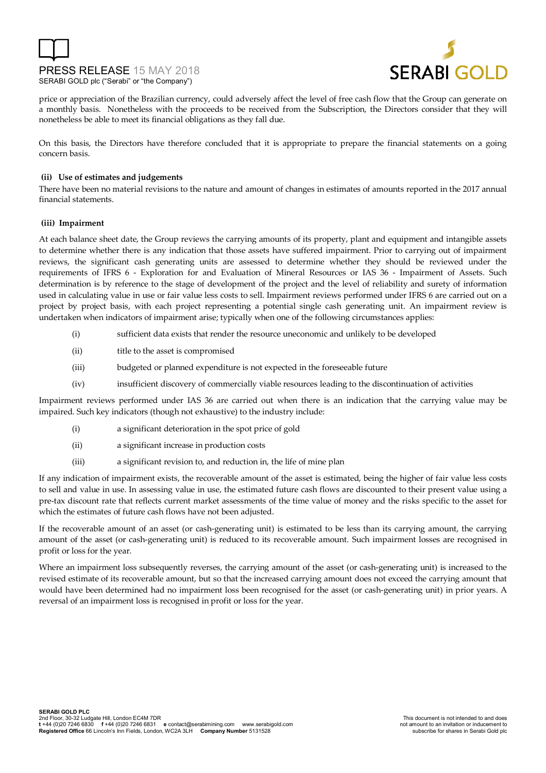



price or appreciation of the Brazilian currency, could adversely affect the level of free cash flow that the Group can generate on a monthly basis. Nonetheless with the proceeds to be received from the Subscription, the Directors consider that they will nonetheless be able to meet its financial obligations as they fall due.

On this basis, the Directors have therefore concluded that it is appropriate to prepare the financial statements on a going concern basis.

#### **(ii) Use of estimates and judgements**

There have been no material revisions to the nature and amount of changes in estimates of amounts reported in the 2017 annual financial statements.

#### **(iii) Impairment**

At each balance sheet date, the Group reviews the carrying amounts of its property, plant and equipment and intangible assets to determine whether there is any indication that those assets have suffered impairment. Prior to carrying out of impairment reviews, the significant cash generating units are assessed to determine whether they should be reviewed under the requirements of IFRS 6 - Exploration for and Evaluation of Mineral Resources or IAS 36 - Impairment of Assets. Such determination is by reference to the stage of development of the project and the level of reliability and surety of information used in calculating value in use or fair value less costs to sell. Impairment reviews performed under IFRS 6 are carried out on a project by project basis, with each project representing a potential single cash generating unit. An impairment review is undertaken when indicators of impairment arise; typically when one of the following circumstances applies:

- (i) sufficient data exists that render the resource uneconomic and unlikely to be developed
- (ii) title to the asset is compromised
- (iii) budgeted or planned expenditure is not expected in the foreseeable future
- (iv) insufficient discovery of commercially viable resources leading to the discontinuation of activities

Impairment reviews performed under IAS 36 are carried out when there is an indication that the carrying value may be impaired. Such key indicators (though not exhaustive) to the industry include:

- (i) a significant deterioration in the spot price of gold
- (ii) a significant increase in production costs
- (iii) a significant revision to, and reduction in, the life of mine plan

If any indication of impairment exists, the recoverable amount of the asset is estimated, being the higher of fair value less costs to sell and value in use. In assessing value in use, the estimated future cash flows are discounted to their present value using a pre-tax discount rate that reflects current market assessments of the time value of money and the risks specific to the asset for which the estimates of future cash flows have not been adjusted.

If the recoverable amount of an asset (or cash-generating unit) is estimated to be less than its carrying amount, the carrying amount of the asset (or cash-generating unit) is reduced to its recoverable amount. Such impairment losses are recognised in profit or loss for the year.

Where an impairment loss subsequently reverses, the carrying amount of the asset (or cash-generating unit) is increased to the revised estimate of its recoverable amount, but so that the increased carrying amount does not exceed the carrying amount that would have been determined had no impairment loss been recognised for the asset (or cash-generating unit) in prior years. A reversal of an impairment loss is recognised in profit or loss for the year.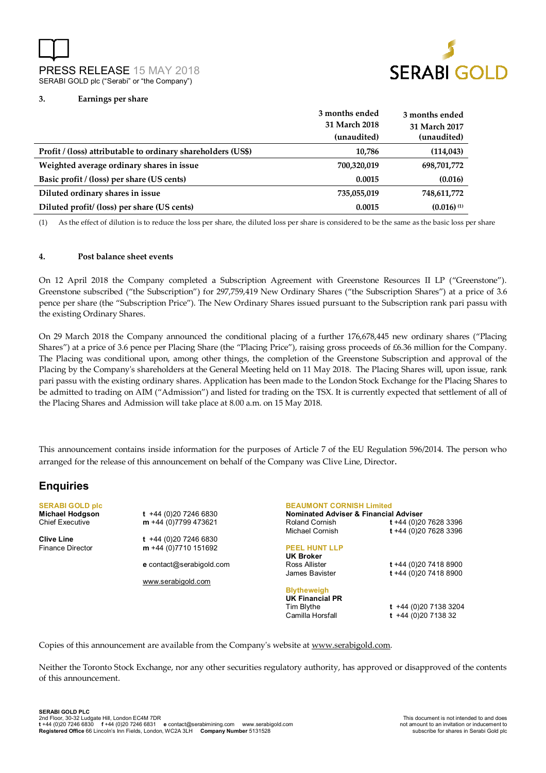PRESS RELEASE 15 MAY 2018 SERABI GOLD plc ("Serabi" or "the Company")



#### **3. Earnings per share**

|                                                              | 3 months ended | 3 months ended           |
|--------------------------------------------------------------|----------------|--------------------------|
|                                                              | 31 March 2018  | 31 March 2017            |
|                                                              | (unaudited)    | (unaudited)              |
| Profit / (loss) attributable to ordinary shareholders (US\$) | 10.786         | (114, 043)               |
| Weighted average ordinary shares in issue                    | 700,320,019    | 698,701,772              |
| Basic profit / (loss) per share (US cents)                   | 0.0015         | (0.016)                  |
| Diluted ordinary shares in issue                             | 735,055,019    | 748,611,772              |
| Diluted profit/ (loss) per share (US cents)                  | 0.0015         | $(0.016)$ <sup>(1)</sup> |

(1) As the effect of dilution is to reduce the loss per share, the diluted loss per share is considered to be the same as the basic loss per share

#### **4. Post balance sheet events**

On 12 April 2018 the Company completed a Subscription Agreement with Greenstone Resources II LP ("Greenstone"). Greenstone subscribed ("the Subscription") for 297,759,419 New Ordinary Shares ("the Subscription Shares") at a price of 3.6 pence per share (the "Subscription Price"). The New Ordinary Shares issued pursuant to the Subscription rank pari passu with the existing Ordinary Shares.

On 29 March 2018 the Company announced the conditional placing of a further 176,678,445 new ordinary shares ("Placing Shares") at a price of 3.6 pence per Placing Share (the "Placing Price"), raising gross proceeds of £6.36 million for the Company. The Placing was conditional upon, among other things, the completion of the Greenstone Subscription and approval of the Placing by the Company's shareholders at the General Meeting held on 11 May 2018. The Placing Shares will, upon issue, rank pari passu with the existing ordinary shares. Application has been made to the London Stock Exchange for the Placing Shares to be admitted to trading on AIM ("Admission") and listed for trading on the TSX. It is currently expected that settlement of all of the Placing Shares and Admission will take place at 8.00 a.m. on 15 May 2018.

This announcement contains inside information for the purposes of Article 7 of the EU Regulation 596/2014. The person who arranged for the release of this announcement on behalf of the Company was Clive Line, Director.

## **Enquiries**

**SERABI GOLD plc Michael Hodgson t** +44 (0)20 7246 6830

Finance Director **m** +44 (0)7710 151692

Chief Executive **m** +44 (0)7799 473621 **Clive Line t** +44 (0)20 7246 6830

**e** contact@serabigold.com

www.serabigold.com

**BEAUMONT CORNISH Limited Nominated Adviser & Financial Adviser**  Roland Cornish **t** +44 (0)20 7628 3396 Michael Cornish **t** +44 (0)20 7628 3396 **PEEL HUNT LLP UK Broker** Ross Allister **t** +44 (0)20 7418 8900 James Bavister **t** +44 (0)20 7418 8900 **Blytheweigh UK Financial PR**  Tim Blythe **t** +44 (0)20 7138 3204 Camilla Horsfall **t** +44 (0)20 7138 32

Copies of this announcement are available from the Company's website at www.serabigold.com.

Neither the Toronto Stock Exchange, nor any other securities regulatory authority, has approved or disapproved of the contents of this announcement.